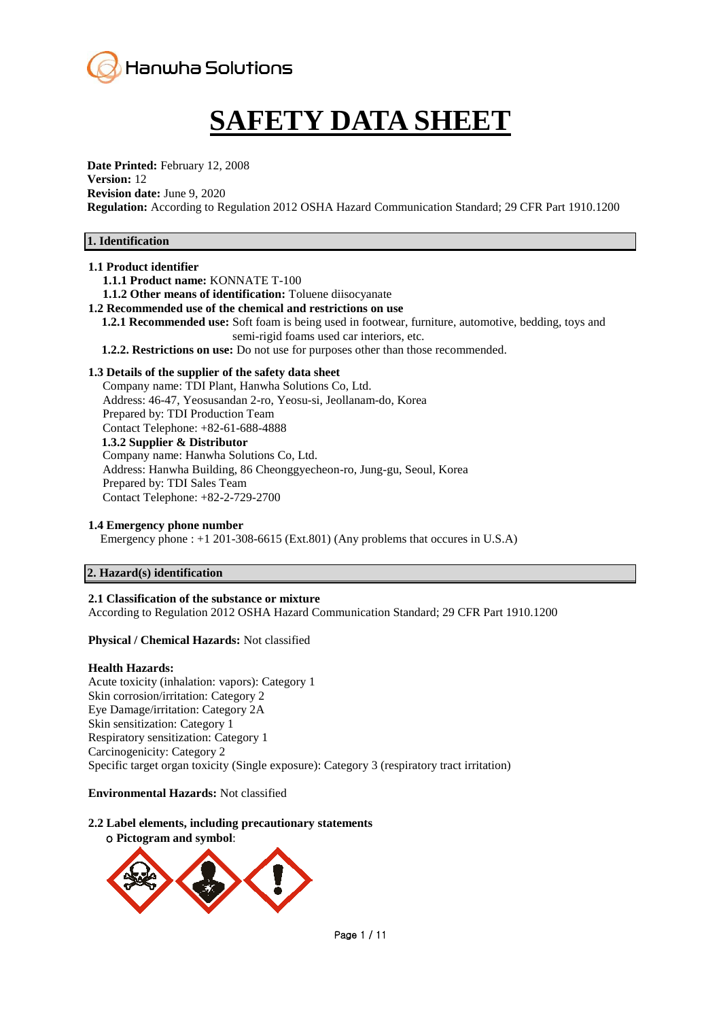

# **SAFETY DATA SHEET**

**Date Printed:** February 12, 2008 **Version:** 12 **Revision date:** June 9, 2020 **Regulation:** According to Regulation 2012 OSHA Hazard Communication Standard; 29 CFR Part 1910.1200

# **1. Identification**

#### **1.1 Product identifier**

**1.1.1 Product name:** KONNATE T-100

**1.1.2 Other means of identification:** Toluene diisocyanate

- **1.2 Recommended use of the chemical and restrictions on use**
	- **1.2.1 Recommended use:** Soft foam is being used in footwear, furniture, automotive, bedding, toys and semi-rigid foams used car interiors, etc.
	- **1.2.2. Restrictions on use:** Do not use for purposes other than those recommended.

### **1.3 Details of the supplier of the safety data sheet**

Company name: TDI Plant, Hanwha Solutions Co, Ltd. Address: 46-47, Yeosusandan 2-ro, Yeosu-si, Jeollanam-do, Korea Prepared by: TDI Production Team Contact Telephone: +82-61-688-4888 **1.3.2 Supplier & Distributor** Company name: Hanwha Solutions Co, Ltd. Address: Hanwha Building, 86 Cheonggyecheon-ro, Jung-gu, Seoul, Korea Prepared by: TDI Sales Team Contact Telephone: +82-2-729-2700

#### **1.4 Emergency phone number**

Emergency phone : +1 201-308-6615 (Ext.801) (Any problems that occures in U.S.A)

#### **2. Hazard(s) identification**

### **2.1 Classification of the substance or mixture**

According to Regulation 2012 OSHA Hazard Communication Standard; 29 CFR Part 1910.1200

#### **Physical / Chemical Hazards:** Not classified

#### **Health Hazards:**

Acute toxicity (inhalation: vapors): Category 1 Skin corrosion/irritation: Category 2 Eye Damage/irritation: Category 2A Skin sensitization: Category 1 Respiratory sensitization: Category 1 Carcinogenicity: Category 2 Specific target organ toxicity (Single exposure): Category 3 (respiratory tract irritation)

#### **Environmental Hazards:** Not classified

# **2.2 Label elements, including precautionary statements**

ο **Pictogram and symbol**:

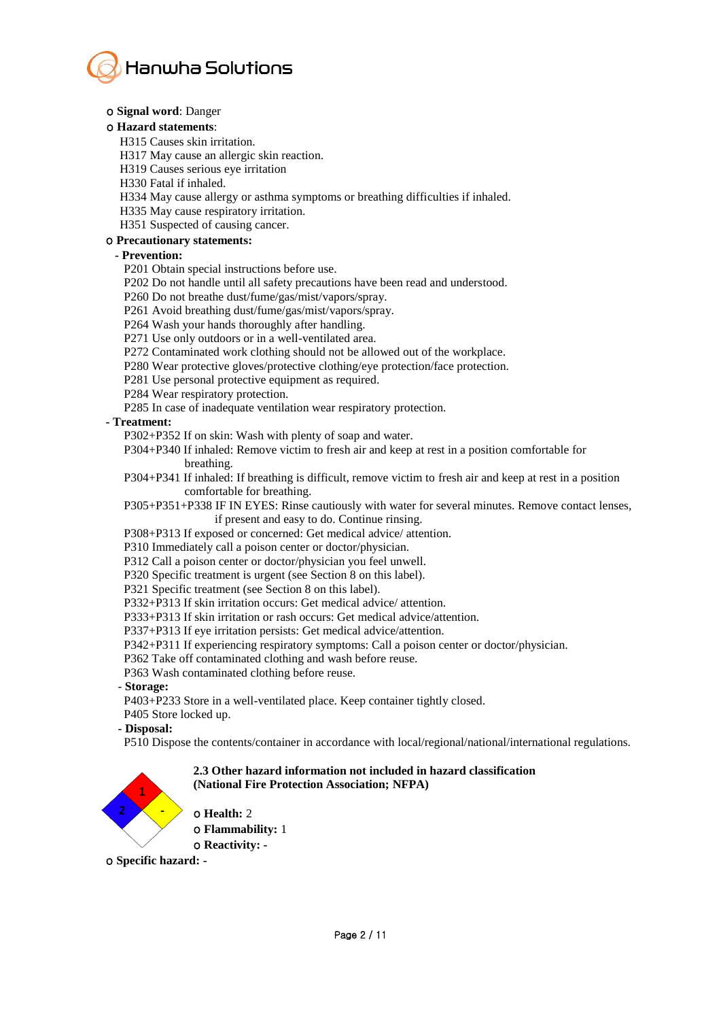

#### ο **Signal word**: Danger

#### ο **Hazard statements**:

H315 Causes skin irritation.

H317 May cause an allergic skin reaction.

H319 Causes serious eye irritation

H330 Fatal if inhaled.

H334 May cause allergy or asthma symptoms or breathing difficulties if inhaled.

H335 May cause respiratory irritation.

H351 Suspected of causing cancer.

# ο **Precautionary statements:**

#### **- Prevention:**

P201 Obtain special instructions before use.

P202 Do not handle until all safety precautions have been read and understood.

P260 Do not breathe dust/fume/gas/mist/vapors/spray.

P261 Avoid breathing dust/fume/gas/mist/vapors/spray.

P264 Wash your hands thoroughly after handling.

P271 Use only outdoors or in a well-ventilated area.

P272 Contaminated work clothing should not be allowed out of the workplace.

P280 Wear protective gloves/protective clothing/eye protection/face protection.

P281 Use personal protective equipment as required.

P284 Wear respiratory protection.

P285 In case of inadequate ventilation wear respiratory protection.

**- Treatment:**

P302+P352 If on skin: Wash with plenty of soap and water.

P304+P340 If inhaled: Remove victim to fresh air and keep at rest in a position comfortable for breathing.

P304+P341 If inhaled: If breathing is difficult, remove victim to fresh air and keep at rest in a position comfortable for breathing.

P305+P351+P338 IF IN EYES: Rinse cautiously with water for several minutes. Remove contact lenses, if present and easy to do. Continue rinsing.

P308+P313 If exposed or concerned: Get medical advice/ attention.

P310 Immediately call a poison center or doctor/physician.

P312 Call a poison center or doctor/physician you feel unwell.

P320 Specific treatment is urgent (see Section 8 on this label).

P321 Specific treatment (see Section 8 on this label).

P332+P313 If skin irritation occurs: Get medical advice/ attention.

P333+P313 If skin irritation or rash occurs: Get medical advice/attention.

P337+P313 If eye irritation persists: Get medical advice/attention.

P342+P311 If experiencing respiratory symptoms: Call a poison center or doctor/physician.

P362 Take off contaminated clothing and wash before reuse.

P363 Wash contaminated clothing before reuse.

- **Storage:**

P403+P233 Store in a well-ventilated place. Keep container tightly closed.

P405 Store locked up.

 **- Disposal:**

P510 Dispose the contents/container in accordance with local/regional/national/international regulations.

# **2.3 Other hazard information not included in hazard classification (National Fire Protection Association; NFPA)**



ο **Health:** 2

ο **Flammability:** 1

ο **Reactivity: -**

ο **Specific hazard: -**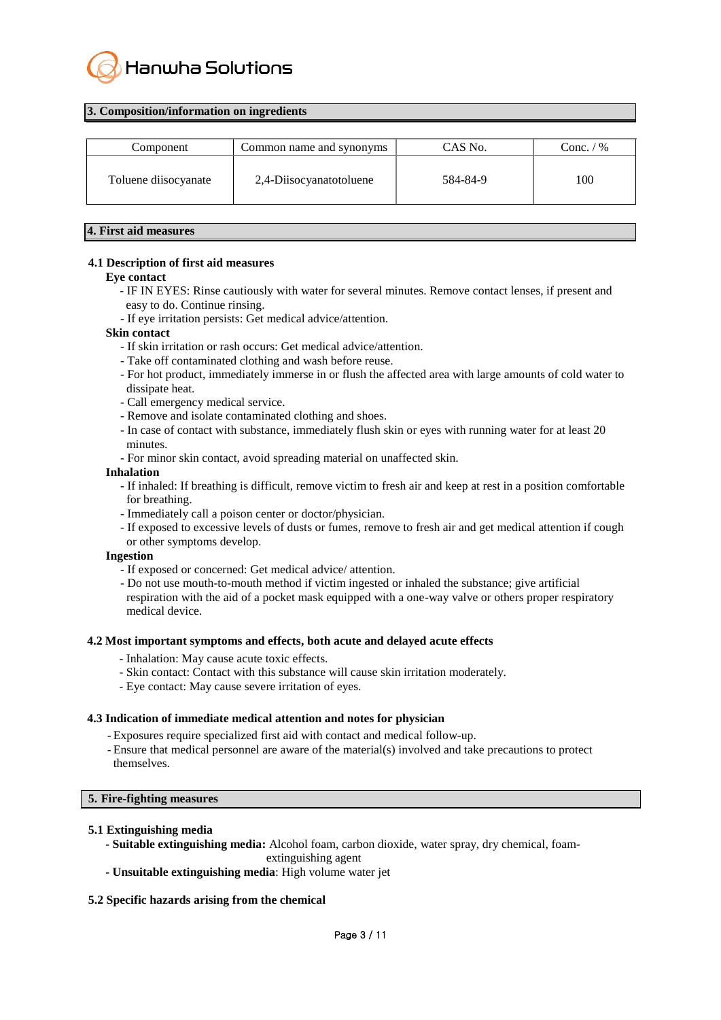

#### **3. Composition/information on ingredients**

| Component            | Common name and synonyms | CAS No.  | Conc. $/$ % |
|----------------------|--------------------------|----------|-------------|
| Toluene diisocyanate | 2,4-Diisocyanatotoluene  | 584-84-9 | 100         |

#### **4. First aid measures**

#### **4.1 Description of first aid measures**

#### **Eye contact**

- IF IN EYES: Rinse cautiously with water for several minutes. Remove contact lenses, if present and easy to do. Continue rinsing.

- If eye irritation persists: Get medical advice/attention.

#### **Skin contact**

- If skin irritation or rash occurs: Get medical advice/attention.
- Take off contaminated clothing and wash before reuse.
- For hot product, immediately immerse in or flush the affected area with large amounts of cold water to dissipate heat.
- Call emergency medical service.
- Remove and isolate contaminated clothing and shoes.
- In case of contact with substance, immediately flush skin or eyes with running water for at least 20 minutes.
- For minor skin contact, avoid spreading material on unaffected skin.

#### **Inhalation**

- If inhaled: If breathing is difficult, remove victim to fresh air and keep at rest in a position comfortable for breathing.
- Immediately call a poison center or doctor/physician.
- If exposed to excessive levels of dusts or fumes, remove to fresh air and get medical attention if cough or other symptoms develop.

#### **Ingestion**

- If exposed or concerned: Get medical advice/ attention.
- Do not use mouth-to-mouth method if victim ingested or inhaled the substance; give artificial respiration with the aid of a pocket mask equipped with a one-way valve or others proper respiratory medical device.

#### **4.2 Most important symptoms and effects, both acute and delayed acute effects**

- Inhalation: May cause acute toxic effects.
- Skin contact: Contact with this substance will cause skin irritation moderately.
- Eye contact: May cause severe irritation of eyes.

### **4.3 Indication of immediate medical attention and notes for physician**

- Exposures require specialized first aid with contact and medical follow-up.
- Ensure that medical personnel are aware of the material(s) involved and take precautions to protect themselves.

#### **5. Fire-fighting measures**

### **5.1 Extinguishing media**

- **- Suitable extinguishing media:** Alcohol foam, carbon dioxide, water spray, dry chemical, foam
	- extinguishing agent
- **- Unsuitable extinguishing media**: High volume water jet

### **5.2 Specific hazards arising from the chemical**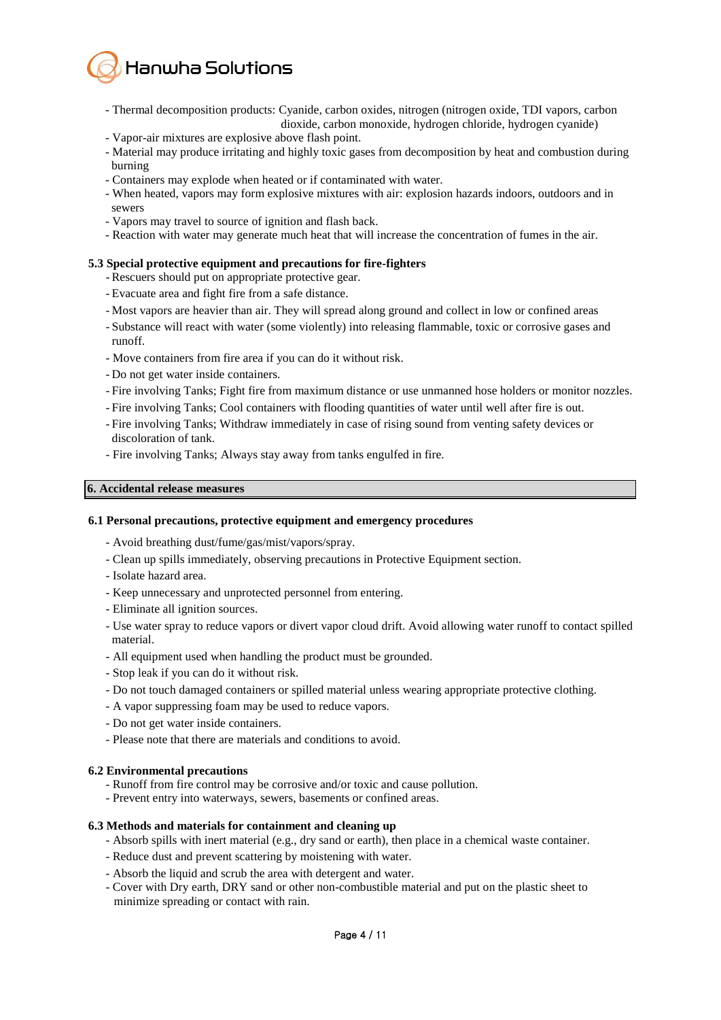

- Thermal decomposition products: Cyanide, carbon oxides, nitrogen (nitrogen oxide, TDI vapors, carbon dioxide, carbon monoxide, hydrogen chloride, hydrogen cyanide)
- Vapor-air mixtures are explosive above flash point.
- Material may produce irritating and highly toxic gases from decomposition by heat and combustion during burning
- Containers may explode when heated or if contaminated with water.
- When heated, vapors may form explosive mixtures with air: explosion hazards indoors, outdoors and in sewers
- Vapors may travel to source of ignition and flash back.
- Reaction with water may generate much heat that will increase the concentration of fumes in the air.

### **5.3 Special protective equipment and precautions for fire-fighters**

- Rescuers should put on appropriate protective gear.
- Evacuate area and fight fire from a safe distance.
- Most vapors are heavier than air. They will spread along ground and collect in low or confined areas
- Substance will react with water (some violently) into releasing flammable, toxic or corrosive gases and runoff.
- Move containers from fire area if you can do it without risk.
- Do not get water inside containers.
- Fire involving Tanks; Fight fire from maximum distance or use unmanned hose holders or monitor nozzles.
- Fire involving Tanks; Cool containers with flooding quantities of water until well after fire is out.
- Fire involving Tanks; Withdraw immediately in case of rising sound from venting safety devices or discoloration of tank.
- Fire involving Tanks; Always stay away from tanks engulfed in fire.

### **6. Accidental release measures**

#### **6.1 Personal precautions, protective equipment and emergency procedures**

- Avoid breathing dust/fume/gas/mist/vapors/spray.
- Clean up spills immediately, observing precautions in Protective Equipment section.
- Isolate hazard area.
- Keep unnecessary and unprotected personnel from entering.
- Eliminate all ignition sources.
- Use water spray to reduce vapors or divert vapor cloud drift. Avoid allowing water runoff to contact spilled material.
- All equipment used when handling the product must be grounded.
- Stop leak if you can do it without risk.
- Do not touch damaged containers or spilled material unless wearing appropriate protective clothing.
- A vapor suppressing foam may be used to reduce vapors.
- Do not get water inside containers.
- Please note that there are materials and conditions to avoid.

#### **6.2 Environmental precautions**

- Runoff from fire control may be corrosive and/or toxic and cause pollution.
- Prevent entry into waterways, sewers, basements or confined areas.

#### **6.3 Methods and materials for containment and cleaning up**

- Absorb spills with inert material (e.g., dry sand or earth), then place in a chemical waste container.
- Reduce dust and prevent scattering by moistening with water.
- Absorb the liquid and scrub the area with detergent and water.
- Cover with Dry earth, DRY sand or other non-combustible material and put on the plastic sheet to minimize spreading or contact with rain.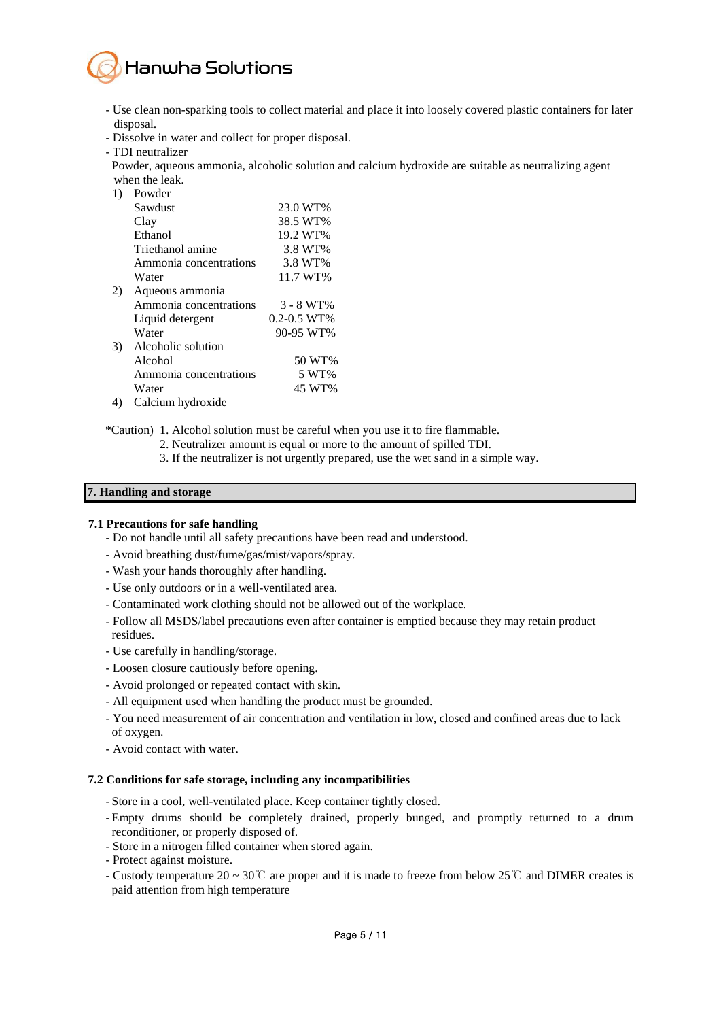

- Use clean non-sparking tools to collect material and place it into loosely covered plastic containers for later disposal.
- Dissolve in water and collect for proper disposal.
- TDI neutralizer

 Powder, aqueous ammonia, alcoholic solution and calcium hydroxide are suitable as neutralizing agent when the leak.

1) Powder

| 11 | r owuci                |                 |
|----|------------------------|-----------------|
|    | Sawdust                | 23.0 WT%        |
|    | Clay                   | 38.5 WT%        |
|    | Ethanol                | 19.2 WT%        |
|    | Triethanol amine       | 3.8 WT%         |
|    | Ammonia concentrations | 3.8 WT%         |
|    | Water                  | 11.7 WT%        |
| 2) | Aqueous ammonia        |                 |
|    | Ammonia concentrations | $3 - 8 W T$ %   |
|    | Liquid detergent       | $0.2 - 0.5$ WT% |
|    | Water                  | 90-95 WT%       |
| 3) | Alcoholic solution     |                 |
|    | Alcohol                | 50 WT%          |
|    | Ammonia concentrations | 5 WT%           |
|    | Water                  | 45 WT%          |
|    |                        |                 |

4) Calcium hydroxide

\*Caution) 1. Alcohol solution must be careful when you use it to fire flammable.

- 2. Neutralizer amount is equal or more to the amount of spilled TDI.
- 3. If the neutralizer is not urgently prepared, use the wet sand in a simple way.

#### **7. Handling and storage**

#### **7.1 Precautions for safe handling**

- Do not handle until all safety precautions have been read and understood.
- Avoid breathing dust/fume/gas/mist/vapors/spray.
- Wash your hands thoroughly after handling.
- Use only outdoors or in a well-ventilated area.
- Contaminated work clothing should not be allowed out of the workplace.
- Follow all MSDS/label precautions even after container is emptied because they may retain product residues.
- Use carefully in handling/storage.
- Loosen closure cautiously before opening.
- Avoid prolonged or repeated contact with skin.
- All equipment used when handling the product must be grounded.
- You need measurement of air concentration and ventilation in low, closed and confined areas due to lack of oxygen.
- Avoid contact with water.

#### **7.2 Conditions for safe storage, including any incompatibilities**

- Store in a cool, well-ventilated place. Keep container tightly closed.
- Empty drums should be completely drained, properly bunged, and promptly returned to a drum reconditioner, or properly disposed of.
- Store in a nitrogen filled container when stored again.
- Protect against moisture.
- Custody temperature 20 ~ 30℃ are proper and it is made to freeze from below 25℃ and DIMER creates is paid attention from high temperature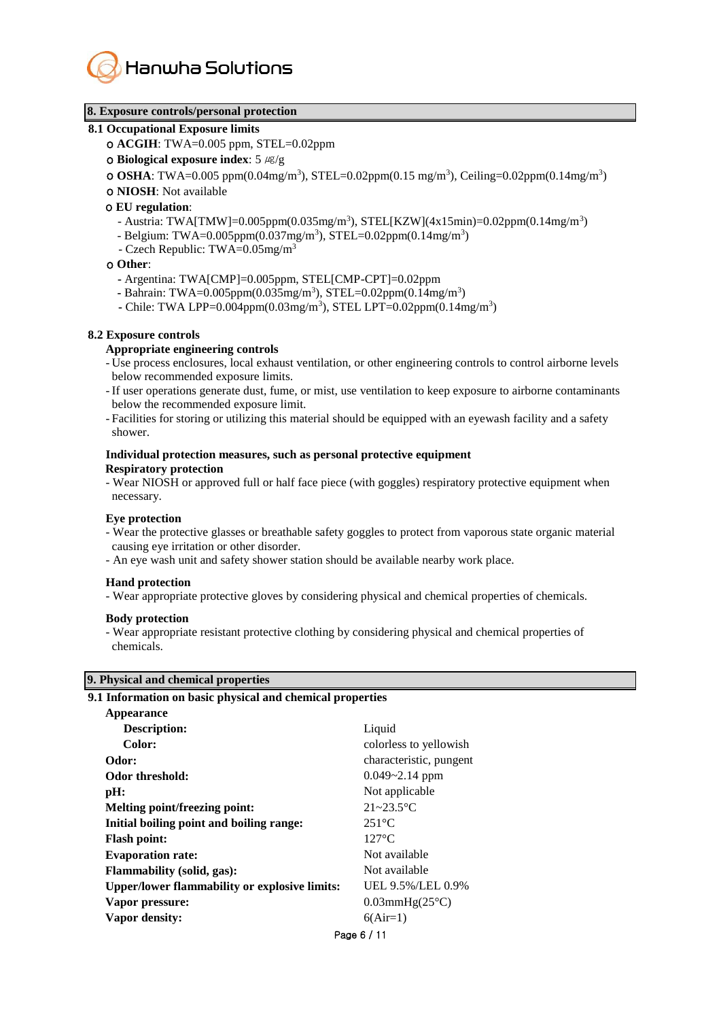

# **8. Exposure controls/personal protection**

#### **8.1 Occupational Exposure limits**

- ο **ACGIH**: TWA=0.005 ppm, STEL=0.02ppm
- ο **Biological exposure index**: 5 ㎍/g
- **o OSHA**: TWA=0.005 ppm(0.04mg/m<sup>3</sup>), STEL=0.02ppm(0.15 mg/m<sup>3</sup>), Ceiling=0.02ppm(0.14mg/m<sup>3</sup>)
- ο **NIOSH**: Not available

#### ο **EU regulation**:

- Austria: TWA[TMW]=0.005ppm(0.035mg/m<sup>3</sup>), STEL[KZW](4x15min)=0.02ppm(0.14mg/m<sup>3</sup>)
	- Belgium: TWA=0.005ppm(0.037mg/m<sup>3</sup>), STEL=0.02ppm(0.14mg/m<sup>3</sup>)
- Czech Republic: TWA=0.05mg/m<sup>3</sup>

#### ο **Other**:

- **-** Argentina: TWA[CMP]=0.005ppm, STEL[CMP-CPT]=0.02ppm
- Bahrain: TWA=0.005ppm(0.035mg/m<sup>3</sup>), STEL=0.02ppm(0.14mg/m<sup>3</sup>)
- Chile: TWA LPP=0.004ppm(0.03mg/m<sup>3</sup>), STEL LPT=0.02ppm(0.14mg/m<sup>3</sup>)

#### **8.2 Exposure controls**

#### **Appropriate engineering controls**

- Use process enclosures, local exhaust ventilation, or other engineering controls to control airborne levels below recommended exposure limits.
- If user operations generate dust, fume, or mist, use ventilation to keep exposure to airborne contaminants below the recommended exposure limit.
- Facilities for storing or utilizing this material should be equipped with an eyewash facility and a safety shower.

#### **Individual protection measures, such as personal protective equipment Respiratory protection**

- Wear NIOSH or approved full or half face piece (with goggles) respiratory protective equipment when necessary.

#### **Eye protection**

- Wear the protective glasses or breathable safety goggles to protect from vaporous state organic material causing eye irritation or other disorder.
- An eye wash unit and safety shower station should be available nearby work place.

# **Hand protection**

- Wear appropriate protective gloves by considering physical and chemical properties of chemicals.

#### **Body protection**

- Wear appropriate resistant protective clothing by considering physical and chemical properties of chemicals.

### **9. Physical and chemical properties**

**9.1 Information on basic physical and chemical properties**

| Appearance                                           |                             |
|------------------------------------------------------|-----------------------------|
| Description:                                         | Liquid                      |
| Color:                                               | colorless to yellowish      |
| Odor:                                                | characteristic, pungent     |
| Odor threshold:                                      | $0.049 - 2.14$ ppm          |
| pH:                                                  | Not applicable              |
| Melting point/freezing point:                        | $21 - 23.5$ °C              |
| Initial boiling point and boiling range:             | $251^{\circ}$ C             |
| <b>Flash point:</b>                                  | $127^{\circ}$ C             |
| <b>Evaporation rate:</b>                             | Not available               |
| <b>Flammability (solid, gas):</b>                    | Not available               |
| <b>Upper/lower flammability or explosive limits:</b> | UEL 9.5%/LEL 0.9%           |
| Vapor pressure:                                      | $0.03$ mmHg $(25^{\circ}C)$ |
| Vapor density:                                       | $6(Air=1)$                  |
|                                                      | Page 6 / 11                 |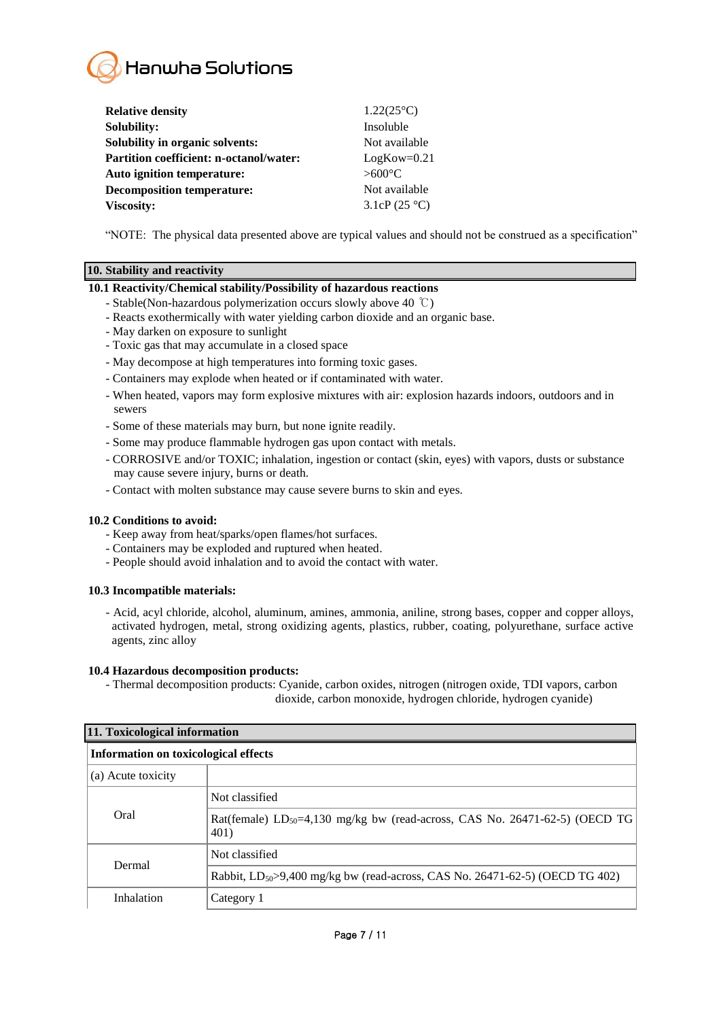

| <b>Relative density</b>                        | $1.22(25^{\circ}C)$ |
|------------------------------------------------|---------------------|
| <b>Solubility:</b>                             | Insoluble           |
| Solubility in organic solvents:                | Not available       |
| <b>Partition coefficient: n-octanol/water:</b> | $LogKow=0.21$       |
| <b>Auto ignition temperature:</b>              | $>600^{\circ}$ C    |
| <b>Decomposition temperature:</b>              | Not available       |
| <b>Viscosity:</b>                              | 3.1cP $(25 °C)$     |

"NOTE: The physical data presented above are typical values and should not be construed as a specification"

# **10. Stability and reactivity**

### **10.1 Reactivity/Chemical stability/Possibility of hazardous reactions**

- Stable(Non-hazardous polymerization occurs slowly above 40 ℃)
- Reacts exothermically with water yielding carbon dioxide and an organic base.
- May darken on exposure to sunlight
- Toxic gas that may accumulate in a closed space
- May decompose at high temperatures into forming toxic gases.
- Containers may explode when heated or if contaminated with water.
- When heated, vapors may form explosive mixtures with air: explosion hazards indoors, outdoors and in sewers
- Some of these materials may burn, but none ignite readily.
- Some may produce flammable hydrogen gas upon contact with metals.
- CORROSIVE and/or TOXIC; inhalation, ingestion or contact (skin, eyes) with vapors, dusts or substance may cause severe injury, burns or death.
- Contact with molten substance may cause severe burns to skin and eyes.

### **10.2 Conditions to avoid:**

- Keep away from heat/sparks/open flames/hot surfaces.
- Containers may be exploded and ruptured when heated.
- People should avoid inhalation and to avoid the contact with water.

# **10.3 Incompatible materials:**

- Acid, acyl chloride, alcohol, aluminum, amines, ammonia, aniline, strong bases, copper and copper alloys, activated hydrogen, metal, strong oxidizing agents, plastics, rubber, coating, polyurethane, surface active agents, zinc alloy

### **10.4 Hazardous decomposition products:**

- Thermal decomposition products: Cyanide, carbon oxides, nitrogen (nitrogen oxide, TDI vapors, carbon dioxide, carbon monoxide, hydrogen chloride, hydrogen cyanide)

| 11. Toxicological information        |                                                                                                 |  |
|--------------------------------------|-------------------------------------------------------------------------------------------------|--|
| Information on toxicological effects |                                                                                                 |  |
| (a) Acute toxicity                   |                                                                                                 |  |
| Oral                                 | Not classified                                                                                  |  |
|                                      | Rat(female) LD <sub>50</sub> =4,130 mg/kg bw (read-across, CAS No. 26471-62-5) (OECD TG<br>401) |  |
| Dermal                               | Not classified                                                                                  |  |
|                                      | Rabbit, LD <sub>50</sub> >9,400 mg/kg bw (read-across, CAS No. 26471-62-5) (OECD TG 402)        |  |
| Inhalation                           | Category 1                                                                                      |  |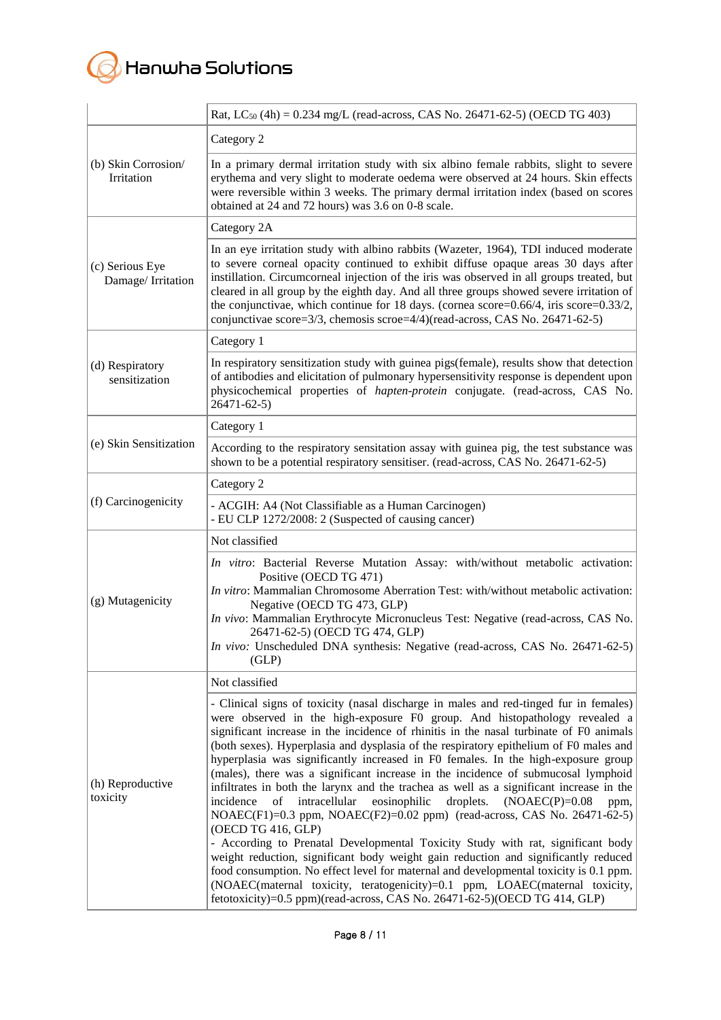

|                                      | Rat, LC <sub>50</sub> (4h) = 0.234 mg/L (read-across, CAS No. 26471-62-5) (OECD TG 403)                                                                                                                                                                                                                                                                                                                                                                                                                                                                                                                                                                                                                                                                                                                                                                                                                                                                                                                                                                                                                                                                                                                                                                  |
|--------------------------------------|----------------------------------------------------------------------------------------------------------------------------------------------------------------------------------------------------------------------------------------------------------------------------------------------------------------------------------------------------------------------------------------------------------------------------------------------------------------------------------------------------------------------------------------------------------------------------------------------------------------------------------------------------------------------------------------------------------------------------------------------------------------------------------------------------------------------------------------------------------------------------------------------------------------------------------------------------------------------------------------------------------------------------------------------------------------------------------------------------------------------------------------------------------------------------------------------------------------------------------------------------------|
| (b) Skin Corrosion<br>Irritation     | Category 2                                                                                                                                                                                                                                                                                                                                                                                                                                                                                                                                                                                                                                                                                                                                                                                                                                                                                                                                                                                                                                                                                                                                                                                                                                               |
|                                      | In a primary dermal irritation study with six albino female rabbits, slight to severe<br>erythema and very slight to moderate oedema were observed at 24 hours. Skin effects<br>were reversible within 3 weeks. The primary dermal irritation index (based on scores<br>obtained at 24 and 72 hours) was 3.6 on 0-8 scale.                                                                                                                                                                                                                                                                                                                                                                                                                                                                                                                                                                                                                                                                                                                                                                                                                                                                                                                               |
|                                      | Category 2A                                                                                                                                                                                                                                                                                                                                                                                                                                                                                                                                                                                                                                                                                                                                                                                                                                                                                                                                                                                                                                                                                                                                                                                                                                              |
| (c) Serious Eye<br>Damage/Irritation | In an eye irritation study with albino rabbits (Wazeter, 1964), TDI induced moderate<br>to severe corneal opacity continued to exhibit diffuse opaque areas 30 days after<br>instillation. Circumcorneal injection of the iris was observed in all groups treated, but<br>cleared in all group by the eighth day. And all three groups showed severe irritation of<br>the conjunctivae, which continue for 18 days. (cornea score=0.66/4, iris score=0.33/2,<br>conjunctivae score=3/3, chemosis scroe=4/4)(read-across, CAS No. 26471-62-5)                                                                                                                                                                                                                                                                                                                                                                                                                                                                                                                                                                                                                                                                                                             |
|                                      | Category 1                                                                                                                                                                                                                                                                                                                                                                                                                                                                                                                                                                                                                                                                                                                                                                                                                                                                                                                                                                                                                                                                                                                                                                                                                                               |
| (d) Respiratory<br>sensitization     | In respiratory sensitization study with guinea pigs(female), results show that detection<br>of antibodies and elicitation of pulmonary hypersensitivity response is dependent upon<br>physicochemical properties of <i>hapten-protein</i> conjugate. (read-across, CAS No.<br>26471-62-5)                                                                                                                                                                                                                                                                                                                                                                                                                                                                                                                                                                                                                                                                                                                                                                                                                                                                                                                                                                |
|                                      | Category 1                                                                                                                                                                                                                                                                                                                                                                                                                                                                                                                                                                                                                                                                                                                                                                                                                                                                                                                                                                                                                                                                                                                                                                                                                                               |
| (e) Skin Sensitization               | According to the respiratory sensitation assay with guinea pig, the test substance was<br>shown to be a potential respiratory sensitiser. (read-across, CAS No. 26471-62-5)                                                                                                                                                                                                                                                                                                                                                                                                                                                                                                                                                                                                                                                                                                                                                                                                                                                                                                                                                                                                                                                                              |
|                                      | Category 2                                                                                                                                                                                                                                                                                                                                                                                                                                                                                                                                                                                                                                                                                                                                                                                                                                                                                                                                                                                                                                                                                                                                                                                                                                               |
| (f) Carcinogenicity                  | - ACGIH: A4 (Not Classifiable as a Human Carcinogen)<br>- EU CLP 1272/2008: 2 (Suspected of causing cancer)                                                                                                                                                                                                                                                                                                                                                                                                                                                                                                                                                                                                                                                                                                                                                                                                                                                                                                                                                                                                                                                                                                                                              |
|                                      | Not classified                                                                                                                                                                                                                                                                                                                                                                                                                                                                                                                                                                                                                                                                                                                                                                                                                                                                                                                                                                                                                                                                                                                                                                                                                                           |
| (g) Mutagenicity                     | In vitro: Bacterial Reverse Mutation Assay: with/without metabolic activation:<br>Positive (OECD TG 471)<br>In vitro: Mammalian Chromosome Aberration Test: with/without metabolic activation:<br>Negative (OECD TG 473, GLP)<br>In vivo: Mammalian Erythrocyte Micronucleus Test: Negative (read-across, CAS No.<br>26471-62-5) (OECD TG 474, GLP)<br>In vivo: Unscheduled DNA synthesis: Negative (read-across, CAS No. 26471-62-5)<br>(GLP)                                                                                                                                                                                                                                                                                                                                                                                                                                                                                                                                                                                                                                                                                                                                                                                                           |
|                                      | Not classified                                                                                                                                                                                                                                                                                                                                                                                                                                                                                                                                                                                                                                                                                                                                                                                                                                                                                                                                                                                                                                                                                                                                                                                                                                           |
| (h) Reproductive<br>toxicity         | - Clinical signs of toxicity (nasal discharge in males and red-tinged fur in females)<br>were observed in the high-exposure F0 group. And histopathology revealed a<br>significant increase in the incidence of rhinitis in the nasal turbinate of F0 animals<br>(both sexes). Hyperplasia and dysplasia of the respiratory epithelium of F0 males and<br>hyperplasia was significantly increased in F0 females. In the high-exposure group<br>(males), there was a significant increase in the incidence of submucosal lymphoid<br>infiltrates in both the larynx and the trachea as well as a significant increase in the<br>of intracellular<br>eosinophilic<br>droplets.<br>$NOAEC(P)=0.08$<br>incidence<br>ppm,<br>$NOAEC(F1)=0.3$ ppm, $NOAEC(F2)=0.02$ ppm) (read-across, CAS No. 26471-62-5)<br>(OECD TG 416, GLP)<br>- According to Prenatal Developmental Toxicity Study with rat, significant body<br>weight reduction, significant body weight gain reduction and significantly reduced<br>food consumption. No effect level for maternal and developmental toxicity is 0.1 ppm.<br>(NOAEC(maternal toxicity, teratogenicity)=0.1 ppm, LOAEC(maternal toxicity,<br>fetotoxicity)=0.5 ppm)(read-across, CAS No. 26471-62-5)(OECD TG 414, GLP) |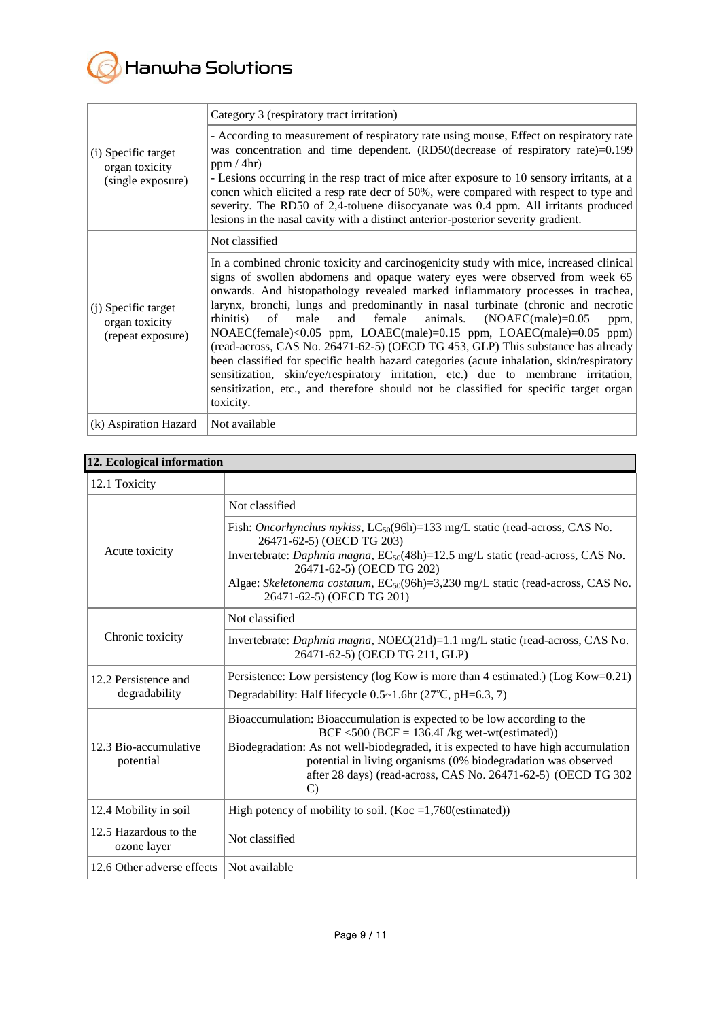

|                                                            | Category 3 (respiratory tract irritation)                                                                                                                                                                                                                                                                                                                                                                                                                                                                                                                                                                                                                                                                                                                                                                                                                                              |
|------------------------------------------------------------|----------------------------------------------------------------------------------------------------------------------------------------------------------------------------------------------------------------------------------------------------------------------------------------------------------------------------------------------------------------------------------------------------------------------------------------------------------------------------------------------------------------------------------------------------------------------------------------------------------------------------------------------------------------------------------------------------------------------------------------------------------------------------------------------------------------------------------------------------------------------------------------|
| (i) Specific target<br>organ toxicity<br>(single exposure) | - According to measurement of respiratory rate using mouse, Effect on respiratory rate<br>was concentration and time dependent. (RD50(decrease of respiratory rate)=0.199<br>ppm/4hr<br>- Lesions occurring in the resp tract of mice after exposure to 10 sensory irritants, at a<br>concn which elicited a resp rate decr of 50%, were compared with respect to type and<br>severity. The RD50 of 2,4-toluene diisocyanate was 0.4 ppm. All irritants produced<br>lesions in the nasal cavity with a distinct anterior-posterior severity gradient.                                                                                                                                                                                                                                                                                                                                  |
|                                                            | Not classified                                                                                                                                                                                                                                                                                                                                                                                                                                                                                                                                                                                                                                                                                                                                                                                                                                                                         |
| (i) Specific target<br>organ toxicity<br>(repeat exposure) | In a combined chronic toxicity and carcinogenicity study with mice, increased clinical<br>signs of swollen abdomens and opaque watery eyes were observed from week 65<br>onwards. And histopathology revealed marked inflammatory processes in trachea,<br>larynx, bronchi, lungs and predominantly in nasal turbinate (chronic and necrotic<br>of<br>female<br>animals.<br>$(NOAEC(male)=0.05)$<br>rhinitis)<br>male<br>and<br>ppm,<br>NOAEC(female)<0.05 ppm, LOAEC(male)=0.15 ppm, LOAEC(male)=0.05 ppm)<br>(read-across, CAS No. 26471-62-5) (OECD TG 453, GLP) This substance has already<br>been classified for specific health hazard categories (acute inhalation, skin/respiratory<br>sensitization, skin/eye/respiratory irritation, etc.) due to membrane irritation,<br>sensitization, etc., and therefore should not be classified for specific target organ<br>toxicity. |
| (k) Aspiration Hazard                                      | Not available                                                                                                                                                                                                                                                                                                                                                                                                                                                                                                                                                                                                                                                                                                                                                                                                                                                                          |

# **12. Ecological information**

| 12.1 Toxicity                         |                                                                                                                                                                                                                                                                                                                                                                             |
|---------------------------------------|-----------------------------------------------------------------------------------------------------------------------------------------------------------------------------------------------------------------------------------------------------------------------------------------------------------------------------------------------------------------------------|
| Acute toxicity                        | Not classified                                                                                                                                                                                                                                                                                                                                                              |
|                                       | Fish: Oncorhynchus mykiss, LC <sub>50</sub> (96h)=133 mg/L static (read-across, CAS No.<br>26471-62-5) (OECD TG 203)<br>Invertebrate: <i>Daphnia magna</i> , $EC_{50}(48h)=12.5$ mg/L static (read-across, CAS No.<br>26471-62-5) (OECD TG 202)<br>Algae: Skeletonema costatum, EC <sub>50</sub> (96h)=3,230 mg/L static (read-across, CAS No.<br>26471-62-5) (OECD TG 201) |
| Chronic toxicity                      | Not classified                                                                                                                                                                                                                                                                                                                                                              |
|                                       | Invertebrate: <i>Daphnia magna</i> , NOEC(21d)=1.1 mg/L static (read-across, CAS No.<br>26471-62-5) (OECD TG 211, GLP)                                                                                                                                                                                                                                                      |
| 12.2 Persistence and<br>degradability | Persistence: Low persistency (log Kow is more than 4 estimated.) (Log Kow=0.21)<br>Degradability: Half lifecycle 0.5∼1.6hr (27°C, pH=6.3, 7)                                                                                                                                                                                                                                |
| 12.3 Bio-accumulative<br>potential    | Bioaccumulation: Bioaccumulation is expected to be low according to the<br>$BCF < 500$ ( $BCF = 136.4L/kg$ wet-wt(estimated))<br>Biodegradation: As not well-biodegraded, it is expected to have high accumulation<br>potential in living organisms (0% biodegradation was observed<br>after 28 days) (read-across, CAS No. 26471-62-5) (OECD TG 302<br>$\mathcal{C}$       |
| 12.4 Mobility in soil                 | High potency of mobility to soil. (Koc = $1,760$ (estimated))                                                                                                                                                                                                                                                                                                               |
| 12.5 Hazardous to the<br>ozone layer  | Not classified                                                                                                                                                                                                                                                                                                                                                              |
| 12.6 Other adverse effects            | Not available                                                                                                                                                                                                                                                                                                                                                               |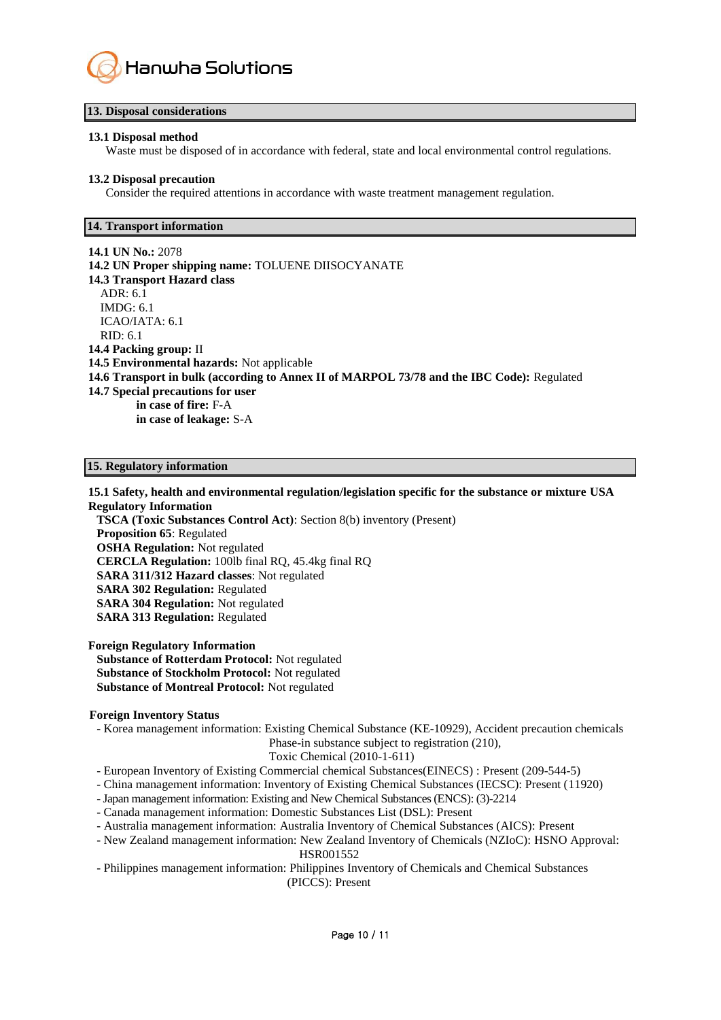

#### **13. Disposal considerations**

#### **13.1 Disposal method**

Waste must be disposed of in accordance with federal, state and local environmental control regulations.

#### **13.2 Disposal precaution**

Consider the required attentions in accordance with waste treatment management regulation.

#### **14. Transport information**

**14.1 UN No.:** 2078 **14.2 UN Proper shipping name:** TOLUENE DIISOCYANATE **14.3 Transport Hazard class**  ADR: 6.1 IMDG: 6.1 ICAO/IATA: 6.1 RID: 6.1 **14.4 Packing group:** II **14.5 Environmental hazards:** Not applicable **14.6 Transport in bulk (according to Annex II of MARPOL 73/78 and the IBC Code):** Regulated **14.7 Special precautions for user in case of fire:** F-A **in case of leakage:** S-A

#### **15. Regulatory information**

#### **15.1 Safety, health and environmental regulation/legislation specific for the substance or mixture USA Regulatory Information**

**TSCA (Toxic Substances Control Act)**: Section 8(b) inventory (Present) **Proposition 65**: Regulated **OSHA Regulation:** Not regulated **CERCLA Regulation:** 100lb final RQ, 45.4kg final RQ **SARA 311/312 Hazard classes**: Not regulated **SARA 302 Regulation:** Regulated **SARA 304 Regulation:** Not regulated **SARA 313 Regulation:** Regulated

**Foreign Regulatory Information Substance of Rotterdam Protocol:** Not regulated **Substance of Stockholm Protocol:** Not regulated **Substance of Montreal Protocol:** Not regulated

#### **Foreign Inventory Status**

- Korea management information: Existing Chemical Substance (KE-10929), Accident precaution chemicals Phase-in substance subject to registration (210),

Toxic Chemical (2010-1-611)

- European Inventory of Existing Commercial chemical Substances(EINECS) : Present (209-544-5)
- China management information: Inventory of Existing Chemical Substances (IECSC): Present (11920)
- -Japan management information: Existing and New Chemical Substances (ENCS): (3)-2214
- Canada management information: Domestic Substances List (DSL): Present
- Australia management information: Australia Inventory of Chemical Substances (AICS): Present
- New Zealand management information: New Zealand Inventory of Chemicals (NZIoC): HSNO Approval: HSR001552
- Philippines management information: Philippines Inventory of Chemicals and Chemical Substances (PICCS): Present